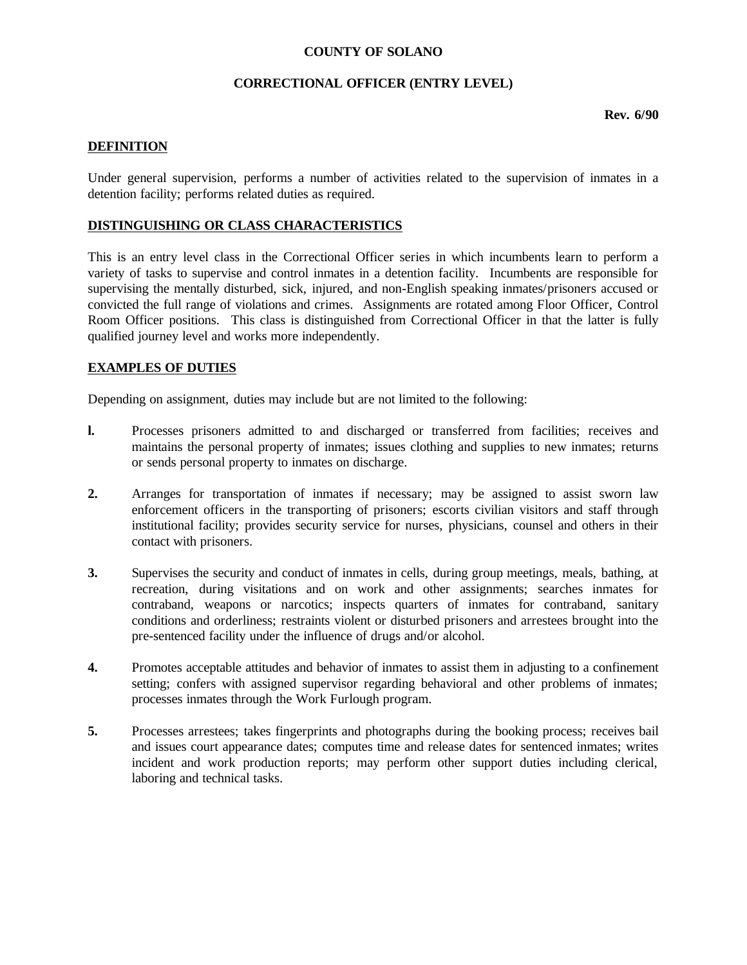#### **COUNTY OF SOLANO**

# **CORRECTIONAL OFFICER (ENTRY LEVEL)**

**Rev. 6/90**

# **DEFINITION**

Under general supervision, performs a number of activities related to the supervision of inmates in a detention facility; performs related duties as required.

# **DISTINGUISHING OR CLASS CHARACTERISTICS**

This is an entry level class in the Correctional Officer series in which incumbents learn to perform a variety of tasks to supervise and control inmates in a detention facility. Incumbents are responsible for supervising the mentally disturbed, sick, injured, and non-English speaking inmates/prisoners accused or convicted the full range of violations and crimes. Assignments are rotated among Floor Officer, Control Room Officer positions. This class is distinguished from Correctional Officer in that the latter is fully qualified journey level and works more independently.

### **EXAMPLES OF DUTIES**

Depending on assignment, duties may include but are not limited to the following:

- **l.** Processes prisoners admitted to and discharged or transferred from facilities; receives and maintains the personal property of inmates; issues clothing and supplies to new inmates; returns or sends personal property to inmates on discharge.
- **2.** Arranges for transportation of inmates if necessary; may be assigned to assist sworn law enforcement officers in the transporting of prisoners; escorts civilian visitors and staff through institutional facility; provides security service for nurses, physicians, counsel and others in their contact with prisoners.
- **3.** Supervises the security and conduct of inmates in cells, during group meetings, meals, bathing, at recreation, during visitations and on work and other assignments; searches inmates for contraband, weapons or narcotics; inspects quarters of inmates for contraband, sanitary conditions and orderliness; restraints violent or disturbed prisoners and arrestees brought into the pre-sentenced facility under the influence of drugs and/or alcohol.
- **4.** Promotes acceptable attitudes and behavior of inmates to assist them in adjusting to a confinement setting; confers with assigned supervisor regarding behavioral and other problems of inmates; processes inmates through the Work Furlough program.
- **5.** Processes arrestees; takes fingerprints and photographs during the booking process; receives bail and issues court appearance dates; computes time and release dates for sentenced inmates; writes incident and work production reports; may perform other support duties including clerical, laboring and technical tasks.